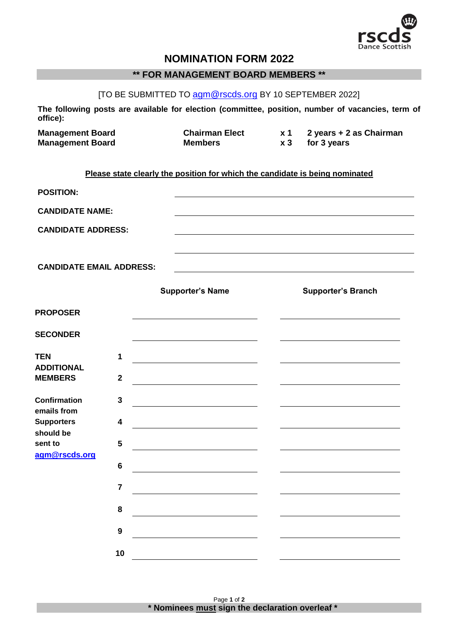

# **NOMINATION FORM 2022**

# **\*\* FOR MANAGEMENT BOARD MEMBERS \*\***

[TO BE SUBMITTED TO [agm@rscds.org](mailto:agm@rscds.org) BY 10 SEPTEMBER 2022]

**The following posts are available for election (committee, position, number of vacancies, term of office):**

| <b>Management Board</b> | <b>Chairman Elect</b> |       | 2 years + 2 as Chairman |
|-------------------------|-----------------------|-------|-------------------------|
| <b>Management Board</b> | Members               | $x_3$ | for 3 years             |

### **Please state clearly the position for which the candidate is being nominated**

| <b>POSITION:</b>                      |                |                                                                                                                       |                           |
|---------------------------------------|----------------|-----------------------------------------------------------------------------------------------------------------------|---------------------------|
| <b>CANDIDATE NAME:</b>                |                |                                                                                                                       |                           |
| <b>CANDIDATE ADDRESS:</b>             |                |                                                                                                                       |                           |
|                                       |                |                                                                                                                       |                           |
| <b>CANDIDATE EMAIL ADDRESS:</b>       |                |                                                                                                                       |                           |
|                                       |                | <b>Supporter's Name</b>                                                                                               | <b>Supporter's Branch</b> |
| <b>PROPOSER</b>                       |                |                                                                                                                       |                           |
| <b>SECONDER</b>                       |                |                                                                                                                       |                           |
| <b>TEN</b>                            | 1              |                                                                                                                       |                           |
| <b>ADDITIONAL</b><br><b>MEMBERS</b>   | $\mathbf{2}$   |                                                                                                                       |                           |
| <b>Confirmation</b>                   | $\mathbf{3}$   |                                                                                                                       |                           |
| emails from<br><b>Supporters</b>      | 4              | <u> 1989 - Johann Barn, mars ann an t-Amhainn an t-Amhainn an t-Amhainn an t-Amhainn an t-Amhainn an t-Amhainn an</u> |                           |
| should be<br>sent to<br>agm@rscds.org | 5              | <u> 1980 - Johann Barbara, martin a</u>                                                                               |                           |
|                                       | $6\phantom{1}$ |                                                                                                                       |                           |
|                                       | $\overline{7}$ |                                                                                                                       |                           |
|                                       | 8              |                                                                                                                       |                           |
|                                       | 9              |                                                                                                                       |                           |
|                                       | 10             |                                                                                                                       |                           |